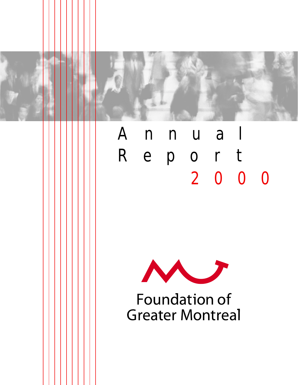



# Annual Report 2000



**Foundation of Greater Montreal**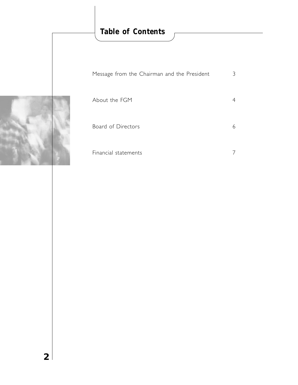# **Table of Contents**

| Message from the Chairman and the President | 3 |
|---------------------------------------------|---|
| About the FGM                               |   |
| <b>Board of Directors</b>                   | 6 |
| Financial statements                        |   |

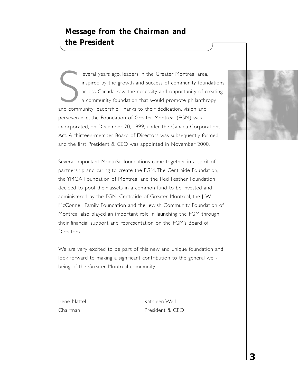everal years ago, leaders in the Greater Montréal area<br>inspired by the growth and success of community four<br>across Canada, saw the necessity and opportunity of c<br>a community foundation that would promote philanthi<br>and comm everal years ago, leaders in the Greater Montréal area, inspired by the growth and success of community foundations across Canada, saw the necessity and opportunity of creating a community foundation that would promote philanthropy perseverance, the Foundation of Greater Montreal (FGM) was incorporated, on December 20, 1999, under the Canada Corporations Act. A thirteen-member Board of Directors was subsequently formed, and the first President & CEO was appointed in November 2000.

Several important Montréal foundations came together in a spirit of partnership and caring to create the FGM. The Centraide Foundation, the YMCA Foundation of Montreal and the Red Feather Foundation decided to pool their assets in a common fund to be invested and administered by the FGM. Centraide of Greater Montreal, the J. W. McConnell Family Foundation and the Jewish Community Foundation of Montreal also played an important role in launching the FGM through their financial support and representation on the FGM's Board of Directors.

We are very excited to be part of this new and unique foundation and look forward to making a significant contribution to the general wellbeing of the Greater Montréal community.

Irene Nattel **Kathleen** Weil Chairman **President & CEO** 

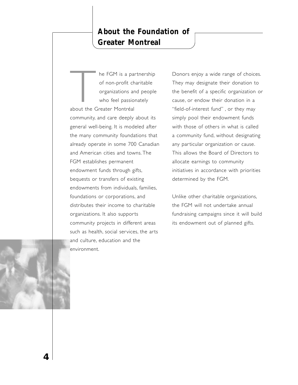# **About the Foundation of Greater Montreal**

The FGM is a partnership<br>of non-profit charitable<br>organizations and people<br>who feel passionately<br>about the Greater Montréal of non-profit charitable organizations and people who feel passionately about the Greater Montréal community, and care deeply about its general well-being. It is modeled after the many community foundations that already operate in some 700 Canadian and American cities and towns. The FGM establishes permanent endowment funds through gifts, bequests or transfers of existing endowments from individuals, families, foundations or corporations, and distributes their income to charitable organizations. It also supports community projects in different areas such as health, social services, the arts and culture, education and the environment.

Donors enjoy a wide range of choices. They may designate their donation to the benefit of a specific organization or cause, or endow their donation in a "field-of-interest fund" , or they may simply pool their endowment funds with those of others in what is called a community fund, without designating any particular organization or cause. This allows the Board of Directors to allocate earnings to community initiatives in accordance with priorities determined by the FGM.

Unlike other charitable organizations, the FGM will not undertake annual fundraising campaigns since it will build its endowment out of planned gifts.

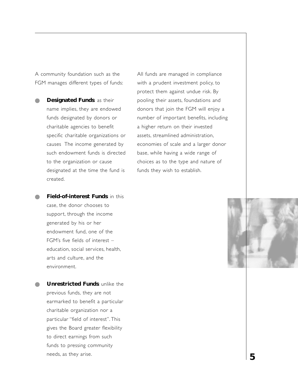A community foundation such as the FGM manages different types of funds:

**Designated Funds**: as their name implies, they are endowed funds designated by donors or charitable agencies to benefit specific charitable organizations or causes The income generated by such endowment funds is directed to the organization or cause designated at the time the fund is created.

All funds are managed in compliance with a prudent investment policy, to protect them against undue risk. By pooling their assets, foundations and donors that join the FGM will enjoy a number of important benefits, including a higher return on their invested assets, streamlined administration, economies of scale and a larger donor base, while having a wide range of choices as to the type and nature of funds they wish to establish.

**Field-of-interest Funds: in this** case, the donor chooses to support, through the income generated by his or her endowment fund, one of the FGM's five fields of interest – education, social services, health, arts and culture, and the environment.

**Unrestricted Funds: unlike the** previous funds, they are not earmarked to benefit a particular charitable organization nor a particular "field of interest". This gives the Board greater flexibility to direct earnings from such funds to pressing community needs, as they arise.

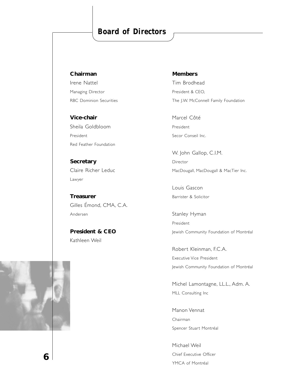# **Board of Directors**

**Chairman**

Irene Nattel Managing Director RBC Dominion Securities

**Vice-chair** Sheila Goldbloom President Red Feather Foundation

**Secretary** Claire Richer Leduc Lawyer

**Treasurer** Gilles Émond, CMA, C.A. Andersen

**President & CEO** Kathleen Weil

**Members**

Tim Brodhead President & CEO, The J.W. McConnell Family Foundation

Marcel Côté President Secor Conseil Inc.

W. John Gallop, C.I.M. Director MacDougall, MacDougall & MacTier Inc.

Louis Gascon Barrister & Solicitor

Stanley Hyman President Jewish Community Foundation of Montréal

Robert Kleinman, F.C.A. Executive Vice President Jewish Community Foundation of Montréal

Michel Lamontagne, LL.L., Adm. A. MLL Consulting Inc

Manon Vennat Chairman Spencer Stuart Montréal

Michael Weil Chief Executive Officer YMCA of Montréal



**6**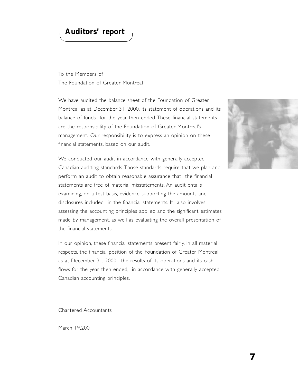### **Auditors' report**

To the Members of The Foundation of Greater Montreal

We have audited the balance sheet of the Foundation of Greater Montreal as at December 31, 2000, its statement of operations and its balance of funds for the year then ended. These financial statements are the responsibility of the Foundation of Greater Montreal's management. Our responsibility is to express an opinion on these financial statements, based on our audit.

We conducted our audit in accordance with generally accepted Canadian auditing standards. Those standards require that we plan and perform an audit to obtain reasonable assurance that the financial statements are free of material misstatements. An audit entails examining, on a test basis, evidence supporting the amounts and disclosures included in the financial statements. It also involves assessing the accounting principles applied and the significant estimates made by management, as well as evaluating the overall presentation of the financial statements.

In our opinion, these financial statements present fairly, in all material respects, the financial position of the Foundation of Greater Montreal as at December 31, 2000, the results of its operations and its cash flows for the year then ended, in accordance with generally accepted Canadian accounting principles.

Chartered Accountants

March 19,2001

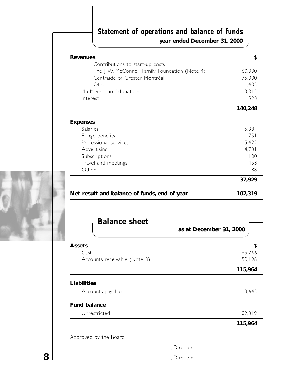# **Statement of operations and balance of funds**

**year ended December 31, 2000**

| Net result and balance of funds, end of year   | 102,319 |
|------------------------------------------------|---------|
|                                                | 37,929  |
| Other                                          | 88      |
| Travel and meetings                            | 453     |
| Subscriptions                                  | 100     |
| Advertising                                    | 4,731   |
| Professional services                          | 15,422  |
| Fringe benefits                                | 1,751   |
| Salaries                                       | 15,384  |
| <b>Expenses</b>                                |         |
|                                                | 140,248 |
| Interest                                       | 528     |
| "In Memoriam" donations                        | 3,315   |
| Other                                          | 1,405   |
| Centraide of Greater Montréal                  | 75,000  |
| The J. W. McConnell Family Foundation (Note 4) | 60,000  |
| Contributions to start-up costs                |         |
| <b>Revenues</b>                                | \$      |



| <b>Balance sheet</b>         |                         |         |  |  |
|------------------------------|-------------------------|---------|--|--|
|                              | as at December 31, 2000 |         |  |  |
| <b>Assets</b>                |                         | \$      |  |  |
| Cash                         |                         | 65,766  |  |  |
| Accounts receivable (Note 3) |                         | 50,198  |  |  |
|                              |                         | 115,964 |  |  |
| Liabilities                  |                         |         |  |  |
| Accounts payable             |                         | 13,645  |  |  |
| <b>Fund balance</b>          |                         |         |  |  |
| Unrestricted                 |                         | 102,319 |  |  |
|                              |                         | 115,964 |  |  |
| Approved by the Board        |                         |         |  |  |
|                              | Director                |         |  |  |
|                              | , Director              |         |  |  |

**8**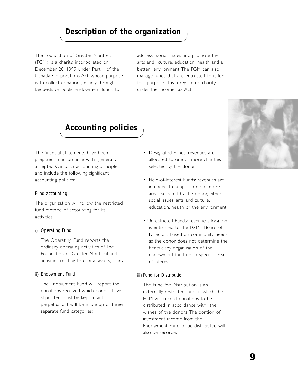# **Description of the organization**

The Foundation of Greater Montreal (FGM) is a charity, incorporated on December 20, 1999 under Part II of the Canada Corporations Act, whose purpose is to collect donations, mainly through bequests or public endowment funds, to

address social issues and promote the arts and culture, education, health and a better environment. The FGM can also manage funds that are entrusted to it for that purpose. It is a registered charity under the Income Tax Act.

# **Accounting policies**

The financial statements have been prepared in accordance with generally accepted Canadian accounting principles and include the following significant accounting policies:

#### *Fund accounting*

The organization will follow the restricted fund method of accounting for its activities:

#### i) *Operating Fund*

The Operating Fund reports the ordinary operating activities of The Foundation of Greater Montreal and activities relating to capital assets, if any.

#### ii) *Endowment Fund*

The Endowment Fund will report the donations received which donors have stipulated must be kept intact perpetually. It will be made up of three separate fund categories:

- Designated Funds: revenues are allocated to one or more charities selected by the donor;
- Field-of-interest Funds: revenues are intended to support one or more areas selected by the donor, either social issues, arts and culture, education, health or the environment;
- Unrestricted Funds: revenue allocation is entrusted to the FGM's Board of Directors based on community needs as the donor does not determine the beneficiary organization of the endowment fund nor a specific area of interest.

#### iii) *Fund for Distribution*

The Fund for Distribution is an externally restricted fund in which the FGM will record donations to be distributed in accordance with the wishes of the donors. The portion of investment income from the Endowment Fund to be distributed will also be recorded.